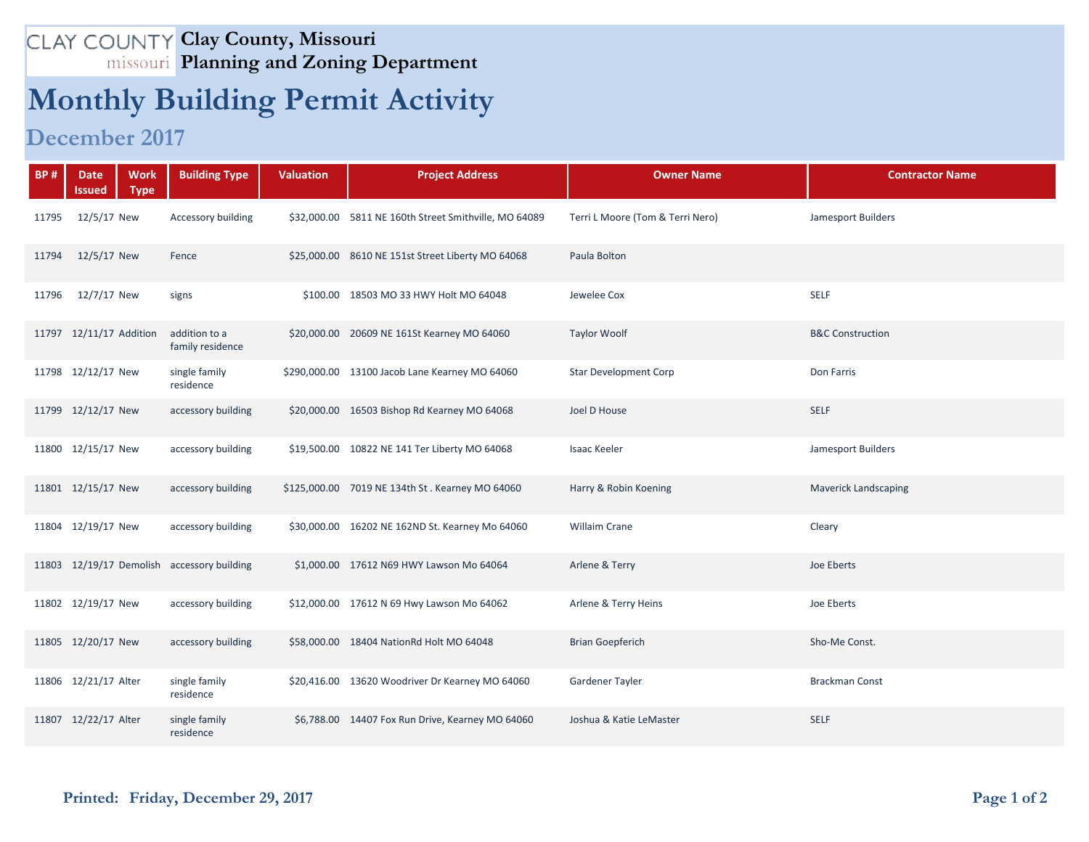## **Clay County, Missouri Planning and Zoning Department**

## **Monthly Building Permit Activity**

## **December 2017**

| <b>BP#</b> | <b>Work</b><br><b>Date</b><br>Issued<br><b>Type</b> | <b>Building Type</b>                       | <b>Valuation</b> | <b>Project Address</b>                                | <b>Owner Name</b>                | <b>Contractor Name</b>      |
|------------|-----------------------------------------------------|--------------------------------------------|------------------|-------------------------------------------------------|----------------------------------|-----------------------------|
| 11795      | 12/5/17 New                                         | Accessory building                         |                  | \$32,000.00 5811 NE 160th Street Smithville, MO 64089 | Terri L Moore (Tom & Terri Nero) | Jamesport Builders          |
| 11794      | 12/5/17 New                                         | Fence                                      |                  | \$25,000.00 8610 NE 151st Street Liberty MO 64068     | Paula Bolton                     |                             |
| 11796      | 12/7/17 New                                         | signs                                      |                  | \$100.00 18503 MO 33 HWY Holt MO 64048                | Jewelee Cox                      | <b>SELF</b>                 |
|            | 11797 12/11/17 Addition                             | addition to a<br>family residence          |                  | \$20,000.00 20609 NE 161St Kearney MO 64060           | <b>Taylor Woolf</b>              | <b>B&amp;C Construction</b> |
|            | 11798 12/12/17 New                                  | single family<br>residence                 |                  | \$290,000.00 13100 Jacob Lane Kearney MO 64060        | <b>Star Development Corp</b>     | Don Farris                  |
|            | 11799 12/12/17 New                                  | accessory building                         |                  | \$20,000.00 16503 Bishop Rd Kearney MO 64068          | Joel D House                     | <b>SELF</b>                 |
|            | 11800 12/15/17 New                                  | accessory building                         |                  | \$19,500.00 10822 NE 141 Ter Liberty MO 64068         | <b>Isaac Keeler</b>              | Jamesport Builders          |
|            | 11801 12/15/17 New                                  | accessory building                         |                  | \$125,000.00 7019 NE 134th St. Kearney MO 64060       | Harry & Robin Koening            | <b>Maverick Landscaping</b> |
|            | 11804 12/19/17 New                                  | accessory building                         |                  | \$30,000.00 16202 NE 162ND St. Kearney Mo 64060       | <b>Willaim Crane</b>             | Cleary                      |
|            |                                                     | 11803 12/19/17 Demolish accessory building |                  | \$1,000.00 17612 N69 HWY Lawson Mo 64064              | Arlene & Terry                   | Joe Eberts                  |
|            | 11802 12/19/17 New                                  | accessory building                         |                  | \$12,000.00 17612 N 69 Hwy Lawson Mo 64062            | Arlene & Terry Heins             | Joe Eberts                  |
|            | 11805 12/20/17 New                                  | accessory building                         |                  | \$58,000.00 18404 NationRd Holt MO 64048              | <b>Brian Goepferich</b>          | Sho-Me Const.               |
|            | 11806 12/21/17 Alter                                | single family<br>residence                 |                  | \$20,416.00 13620 Woodriver Dr Kearney MO 64060       | Gardener Tayler                  | <b>Brackman Const</b>       |
|            | 11807 12/22/17 Alter                                | single family<br>residence                 |                  | \$6,788.00 14407 Fox Run Drive, Kearney MO 64060      | Joshua & Katie LeMaster          | <b>SELF</b>                 |